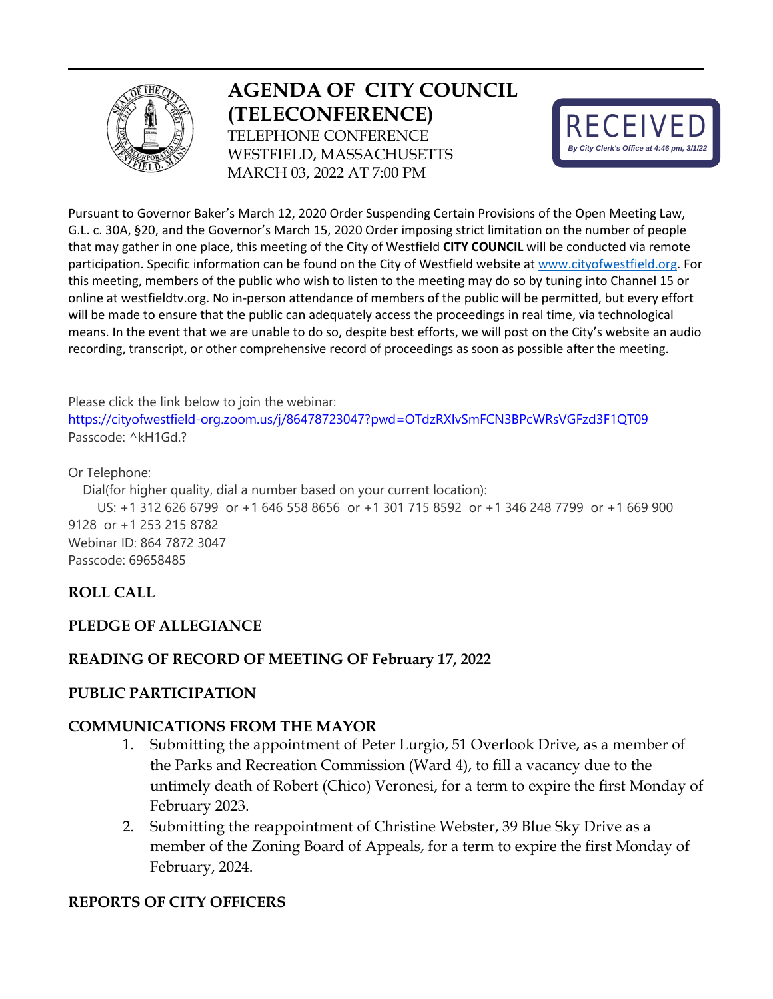

# **AGENDA OF CITY COUNCIL (TELECONFERENCE)**  TELEPHONE CONFERENCE WESTFIELD, MASSACHUSETTS MARCH 03, 2022 AT 7:00 PM



Pursuant to Governor Baker's March 12, 2020 Order Suspending Certain Provisions of the Open Meeting Law, G.L. c. 30A, §20, and the Governor's March 15, 2020 Order imposing strict limitation on the number of people that may gather in one place, this meeting of the City of Westfield **CITY COUNCIL** will be conducted via remote participation. Specific information can be found on the City of Westfield website a[t www.cityofwestfield.org.](http://www.cityofwestfield.org/) For this meeting, members of the public who wish to listen to the meeting may do so by tuning into Channel 15 or online at westfieldtv.org. No in-person attendance of members of the public will be permitted, but every effort will be made to ensure that the public can adequately access the proceedings in real time, via technological means. In the event that we are unable to do so, despite best efforts, we will post on the City's website an audio recording, transcript, or other comprehensive record of proceedings as soon as possible after the meeting.

Please click the link below to join the webinar:

<https://cityofwestfield-org.zoom.us/j/86478723047?pwd=OTdzRXIvSmFCN3BPcWRsVGFzd3F1QT09> Passcode: ^kH1Gd.?

#### Or Telephone:

Dial(for higher quality, dial a number based on your current location):

 US: +1 312 626 6799 or +1 646 558 8656 or +1 301 715 8592 or +1 346 248 7799 or +1 669 900 9128 or +1 253 215 8782 Webinar ID: 864 7872 3047 Passcode: 69658485

# **ROLL CALL**

### **PLEDGE OF ALLEGIANCE**

### **READING OF RECORD OF MEETING OF February 17, 2022**

#### **PUBLIC PARTICIPATION**

#### **COMMUNICATIONS FROM THE MAYOR**

- 1. Submitting the appointment of Peter Lurgio, 51 Overlook Drive, as a member of the Parks and Recreation Commission (Ward 4), to fill a vacancy due to the untimely death of Robert (Chico) Veronesi, for a term to expire the first Monday of February 2023.
- 2. Submitting the reappointment of Christine Webster, 39 Blue Sky Drive as a member of the Zoning Board of Appeals, for a term to expire the first Monday of February, 2024.

#### **REPORTS OF CITY OFFICERS**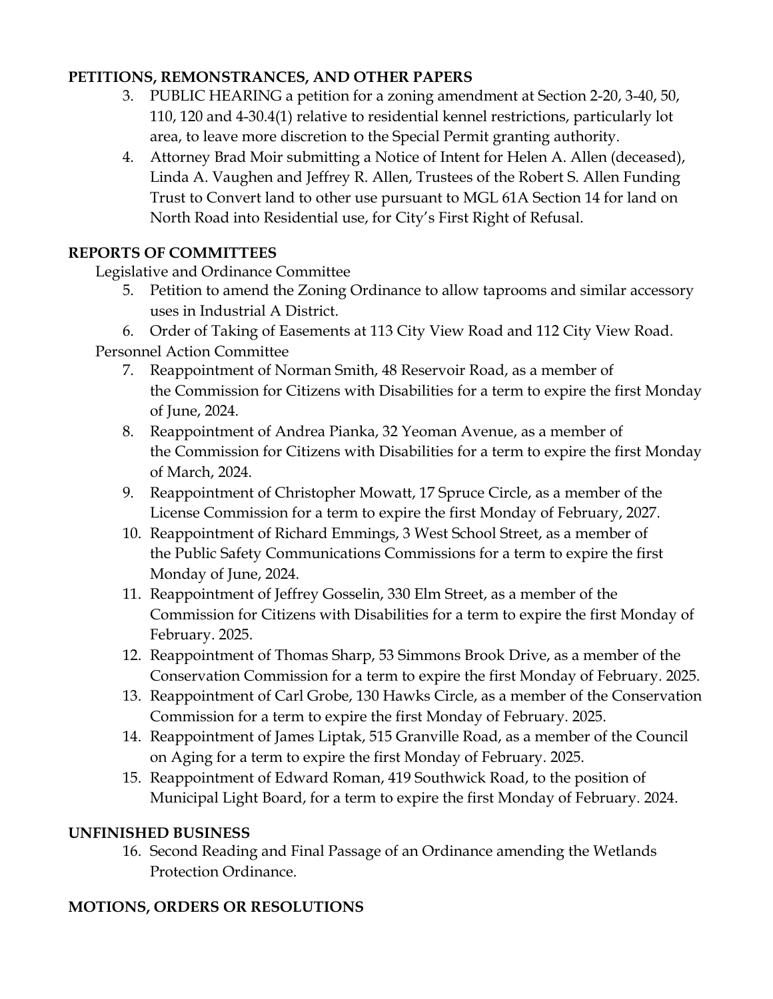# **PETITIONS, REMONSTRANCES, AND OTHER PAPERS**

- 3. PUBLIC HEARING a petition for a zoning amendment at Section 2-20, 3-40, 50, 110, 120 and 4-30.4(1) relative to residential kennel restrictions, particularly lot area, to leave more discretion to the Special Permit granting authority.
- 4. Attorney Brad Moir submitting a Notice of Intent for Helen A. Allen (deceased), Linda A. Vaughen and Jeffrey R. Allen, Trustees of the Robert S. Allen Funding Trust to Convert land to other use pursuant to MGL 61A Section 14 for land on North Road into Residential use, for City's First Right of Refusal.

# **REPORTS OF COMMITTEES**

Legislative and Ordinance Committee

- 5. Petition to amend the Zoning Ordinance to allow taprooms and similar accessory uses in Industrial A District.
- 6. Order of Taking of Easements at 113 City View Road and 112 City View Road.

Personnel Action Committee

- 7. Reappointment of Norman Smith, 48 Reservoir Road, as a member of the Commission for Citizens with Disabilities for a term to expire the first Monday of June, 2024.
- 8. Reappointment of Andrea Pianka, 32 Yeoman Avenue, as a member of the Commission for Citizens with Disabilities for a term to expire the first Monday of March, 2024.
- 9. Reappointment of Christopher Mowatt, 17 Spruce Circle, as a member of the License Commission for a term to expire the first Monday of February, 2027.
- 10. Reappointment of Richard Emmings, 3 West School Street, as a member of the Public Safety Communications Commissions for a term to expire the first Monday of June, 2024.
- 11. Reappointment of Jeffrey Gosselin, 330 Elm Street, as a member of the Commission for Citizens with Disabilities for a term to expire the first Monday of February. 2025.
- 12. Reappointment of Thomas Sharp, 53 Simmons Brook Drive, as a member of the Conservation Commission for a term to expire the first Monday of February. 2025.
- 13. Reappointment of Carl Grobe, 130 Hawks Circle, as a member of the Conservation Commission for a term to expire the first Monday of February. 2025.
- 14. Reappointment of James Liptak, 515 Granville Road, as a member of the Council on Aging for a term to expire the first Monday of February. 2025.
- 15. Reappointment of Edward Roman, 419 Southwick Road, to the position of Municipal Light Board, for a term to expire the first Monday of February. 2024.

### **UNFINISHED BUSINESS**

16. Second Reading and Final Passage of an Ordinance amending the Wetlands Protection Ordinance.

# **MOTIONS, ORDERS OR RESOLUTIONS**